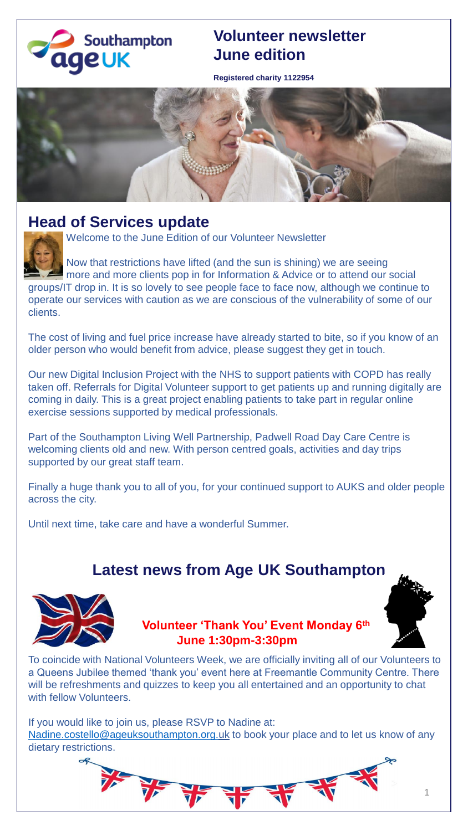

## **Volunteer newsletter June edition**

**Registered charity 1122954**



### **Head of Services update**



Welcome to the June Edition of our Volunteer Newsletter

Now that restrictions have lifted (and the sun is shining) we are seeing more and more clients pop in for Information & Advice or to attend our social groups/IT drop in. It is so lovely to see people face to face now, although we continue to operate our services with caution as we are conscious of the vulnerability of some of our clients.

The cost of living and fuel price increase have already started to bite, so if you know of an older person who would benefit from advice, please suggest they get in touch.

Our new Digital Inclusion Project with the NHS to support patients with COPD has really taken off. Referrals for Digital Volunteer support to get patients up and running digitally are coming in daily. This is a great project enabling patients to take part in regular online exercise sessions supported by medical professionals.

Part of the Southampton Living Well Partnership, Padwell Road Day Care Centre is welcoming clients old and new. With person centred goals, activities and day trips supported by our great staff team.

Finally a huge thank you to all of you, for your continued support to AUKS and older people across the city.

Until next time, take care and have a wonderful Summer.

# **Latest news from Age UK Southampton**



#### **Volunteer 'Thank You' Event Monday 6th June 1:30pm-3:30pm**



To coincide with National Volunteers Week, we are officially inviting all of our Volunteers to a Queens Jubilee themed 'thank you' event here at Freemantle Community Centre. There will be refreshments and quizzes to keep you all entertained and an opportunity to chat with fellow Volunteers.

If you would like to join us, please RSVP to Nadine at: [Nadine.costello@ageuksouthampton.org.uk](mailto:Nadine.costello@ageuksouthampton.org.uk) to book your place and to let us know of any dietary restrictions.